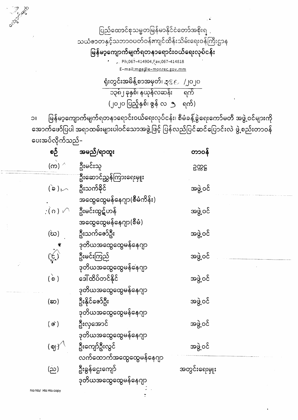ပြည်ထောင်စုသမ္မတမြန်မာနိုင်ငံတော်အစိုးရ သယံဇာတနှင့်သဘာဝပတ်ဝန်းကျင်ထိန်းသိမ်းရေးဝန်ကြီးဌာန

မြန်မာ့ကျောက်မျက်ရတနာရောင်းဝယ်ရေးလုပ်ငန်း

Ph;067-414904, Fax; 067-414818 E-mail; mge@e-monrec.gov.mm

ရုံးတွင်းအမိန့်စာအမှတ်၊ ၃ $\mathfrak{c}\in\ L$ ္တုပ $\mathfrak{o}$ ာ၃၈၂ ခုနှစ်၊ နယုန်လဆန်း ရက် (၂၀၂၀ ပြည့်နှစ်၊ ဇွန် လ ၅ ရက်)

မြန်မာ့ကျောက်မျက်ရတနာရောင်းဝယ်ရေးလုပ်ငန်း၊ စီမံခန့်ခွဲရေးကော်မတီ အဖွဲ့ဝင်များကို  $\overline{\overline{C}}$ အောက်ဖော်ပြပါ အရာထမ်းများပါဝင်သောအဖွဲ့ဖြင့် ပြန်လည်ပြင်ဆင်ပြောင်းလဲ ဖွဲ့စည်းတာဝန် ပေးအပ်လိုက်သည်–

| စဉ်                                       | အမည်/ရာထူး                 | တာဝန်         |  |
|-------------------------------------------|----------------------------|---------------|--|
| (က) $\wedge$                              | ဦးမင်းသူ                   | ဥက္ကဋ္ဌ       |  |
|                                           | ဦးဆောင်ညွှန်ကြားရေးမှူး    |               |  |
| $\sim$ (é)                                | ဦးသက်နိုင်                 | အဖွဲ့ဝင်      |  |
|                                           | အထွေထွေမန်နေဂျာ(စီမံကိန်း) |               |  |
| $\hat{\mathcal{C}}(\mathfrak{o}) \subset$ | ဦးမင်းထွဋ်ဟန်              | အဖွဲ့ဝင်      |  |
|                                           | အထွေထွေမန်နေဂျာ(စီမံ)      |               |  |
| (ဃ)                                       | ဦးသက်ဇော်ဦး                | အဖွဲ့ဝင်      |  |
|                                           | ဒုတိယအထွေထွေမန်နေဂျာ       |               |  |
| $\sum_{k=1}^{n}$                          | ဦးမင်းကြည်                 | အဖွဲ့ဝင်      |  |
|                                           | ဒုတိယအထွေထွေမန်နေဂျာ       |               |  |
| $\overrightarrow{0}$                      | ဒေါ်ထိပ်တင်နိုင်           | အဖွဲ့ဝင်      |  |
|                                           | ဒုတိယအထွေထွေမန်နေဂျာ       |               |  |
| (ဆ)                                       | ဦးနိုင်ဇော်ဦး              | အဖွဲ့ ဝင်     |  |
|                                           | ဒုတိယအထွေထွေမန်နေဂျာ       |               |  |
| $($ @`)                                   | ဦးလှအောင်                  | အဖွဲ့ဝင်      |  |
|                                           | ဒုတိယအထွေထွေမန်နေဂျာ       |               |  |
| (ဈ $\gamma^{\backslash}$                  | ဦးကျော်ဦးလွင်              | အဖွဲ့ ဝင်     |  |
|                                           | လက်ထောက်အထွေထွေမန်နေဂျာ    |               |  |
| (ည)                                       | ဦးခွန်ဌေးကျော်             | အတွင်းရေးမှူး |  |
|                                           | ဒုတိယအထွေထွေမန်နေဂျာ       |               |  |
| Hla Hla copy                              |                            |               |  |

hia hia,